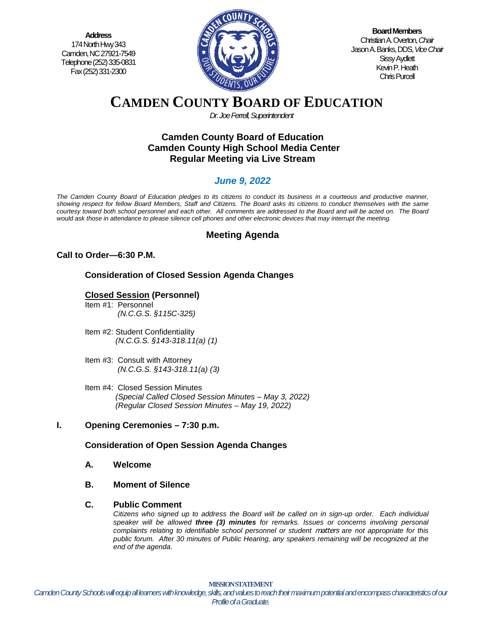**Address** 174 North Hwy 343 Camden, NC 27921-7549 Telephone (252) 335-0831 Fax (252) 331-2300



**Board Members** Christian A. Overton, *Chair* Jason A. Banks, DDS,*Vice Chair* Sissy Aydlett Kevin P. Heath Chris Purcell

# **CAMDEN COUNTY BOARD OF EDUCATION**

*Dr. Joe Ferrell, Superintendent*

## **Camden County Board of Education Camden County High School Media Center Regular Meeting via Live Stream**

## *June 9, 2022*

*The Camden County Board of Education pledges to its citizens to conduct its business in a courteous and productive manner, showing respect for fellow Board Members, Staff and Citizens. The Board asks its citizens to conduct themselves with the same courtesy toward both school personnel and each other. All comments are addressed to the Board and will be acted on. The Board would ask those in attendance to please silence cell phones and other electronic devices that may interrupt the meeting.*

## **Meeting Agenda**

## **Call to Order—6:30 P.M.**

**Consideration of Closed Session Agenda Changes**

## **Closed Session (Personnel)**

- Item #1: Personnel *(N.C.G.S. §115C-325)*
- Item #2: Student Confidentiality *(N.C.G.S. §143-318.11(a) (1)*
- Item #3: Consult with Attorney  *(N.C.G.S. §143-318.11(a) (3)*
- Item #4: Closed Session Minutes *(Special Called Closed Session Minutes – May 3, 2022) (Regular Closed Session Minutes – May 19, 2022)*

## **I. Opening Ceremonies – 7:30 p.m.**

## **Consideration of Open Session Agenda Changes**

- **A. Welcome**
- **B. Moment of Silence**

#### **C. Public Comment**

*Citizens who signed up to address the Board will be called on in sign-up order. Each individual speaker will be allowed three (3) minutes for remarks. Issues or concerns involving personal complaints relating to identifiable school personnel or student* matters *are not appropriate for this public forum. After 30 minutes of Public Hearing, any speakers remaining will be recognized at the end of the agenda.*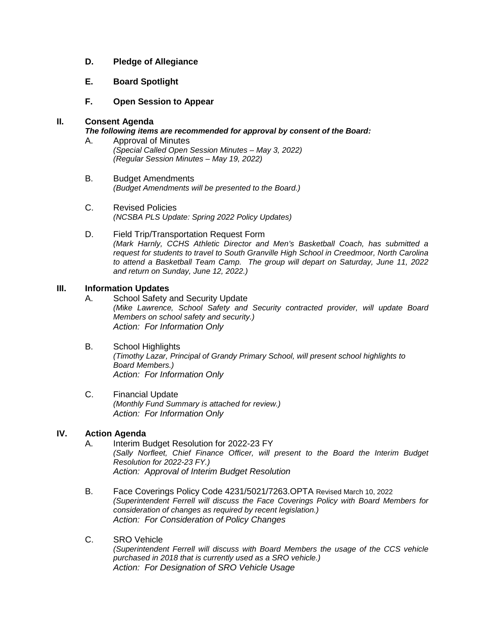- **D. Pledge of Allegiance**
- **E. Board Spotlight**
- **F. Open Session to Appear**

#### **II. Consent Agenda**

#### *The following items are recommended for approval by consent of the Board:*

- A. Approval of Minutes *(Special Called Open Session Minutes – May 3, 2022) (Regular Session Minutes – May 19, 2022)*
- B. Budget Amendments *(Budget Amendments will be presented to the Board.)*
- C. Revised Policies *(NCSBA PLS Update: Spring 2022 Policy Updates)*
- D. Field Trip/Transportation Request Form *(Mark Harnly, CCHS Athletic Director and Men's Basketball Coach, has submitted a request for students to travel to South Granville High School in Creedmoor, North Carolina to attend a Basketball Team Camp. The group will depart on Saturday, June 11, 2022 and return on Sunday, June 12, 2022.)*

#### **III. Information Updates**

- A. School Safety and Security Update *(Mike Lawrence, School Safety and Security contracted provider, will update Board Members on school safety and security.) Action: For Information Only*
- B. School Highlights *(Timothy Lazar, Principal of Grandy Primary School, will present school highlights to Board Members.) Action: For Information Only*
- C. Financial Update *(Monthly Fund Summary is attached for review.) Action: For Information Only*

#### **IV. Action Agenda**

- A. Interim Budget Resolution for 2022-23 FY *(Sally Norfleet, Chief Finance Officer, will present to the Board the Interim Budget Resolution for 2022-23 FY.) Action: Approval of Interim Budget Resolution*
- B. Face Coverings Policy Code 4231/5021/7263.OPTA Revised March 10, 2022 *(Superintendent Ferrell will discuss the Face Coverings Policy with Board Members for consideration of changes as required by recent legislation.) Action: For Consideration of Policy Changes*
- C. SRO Vehicle

*(Superintendent Ferrell will discuss with Board Members the usage of the CCS vehicle purchased in 2018 that is currently used as a SRO vehicle.) Action: For Designation of SRO Vehicle Usage*